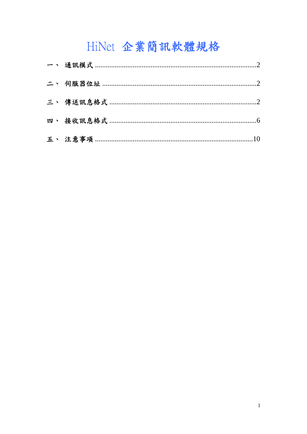# HiNet 企業簡訊軟體規格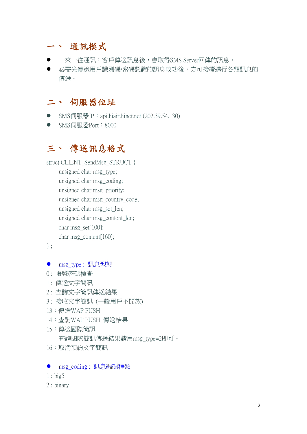### 一、 通訊模式

- 一來一往涌訊:客戶傳送訊息後,會取得SMS Server回傳的訊息。
- 必需先傳送用戶識別碼/密碼認證的訊息成功後,方可接續進行各類訊息的 傳送。

### 二、 伺服器位址

- SMS伺服器IP: api.hiair.hinet.net (202.39.54.130)
- SMS伺服器Port: 8000

# 三、 傳送訊息格式

struct CLIENT\_SendMsg\_STRUCT { unsigned char msg\_type; unsigned char msg\_coding; unsigned char msg\_priority; unsigned char msg\_country\_code; unsigned char msg\_set\_len; unsigned char msg\_content\_len; char msg\_set[100]; char msg\_content[160];

} ;

- msg\_type : 訊息型態
- 0 : 帳號密碼檢查
- 1 : 傳送文字簡訊
- 2 : 查詢文字簡訊傳送結果
- 3 : 接收文字簡訊 (一般用戶不開放)
- 13:傳送WAP PUSH
- 14:查詢WAP PUSH 傳送結果
- 15:傳送國際簡訊 查詢國際簡訊傳送結果請用msg\_type=2即可。
- 16:取消預約文字簡訊

#### ● msg\_coding: 訊息編碼種類

- 1 : big5
- 2 : binary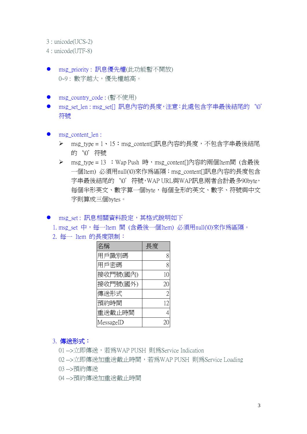3 : unicode(UCS-2)

4 : unicode(UTF-8)

- msg\_priority : 訊息優先權(此功能暫不開放) 0~9: 數字越大,優先權越高。
- msg\_country\_code : (暫不使用)
- msg\_set\_len : msg\_set[] 訊息內容的長度,注意:此處包含字串最後結尾的 '\0' 符號
- msg\_content\_len :
	- ▶ msg\_type = 1、15:msg\_content[]訊息內容的長度,不包含字串最後結尾 的`\0'符號
	- ▶ msg\_type = 13 : Wap Push 時, msg\_content[]內容的兩個Item間 (含最後 一個Item) 必須用null(\0)來作為區隔;msg\_content[]訊息內容的長度包含 字串最後結尾的'W'符號,WAP URL與WAP訊息兩者合計最多90byte, 每個半形英文、數字算一個byte,每個全形的英文、數字、符號與中文 字則算成三個bytes。
- msg\_set : 訊息相關資料設定, 其格式說明如下
	- 1. msg\_set 中,每一Item 間 (含最後一個Item) 必須用null(\0)來作為區隔。
	- 2. 每一 Item 的長度限制:

| 名稱        | 長度 |
|-----------|----|
| 用戶識別碼     | 8  |
| 用戶密碼      | 8  |
| 接收門號(國內)  | 10 |
| 接收門號(國外)  | 20 |
| 傳送形式      | 2  |
| 預約時間      | 12 |
| 重送截止時間    |    |
| MessageID |    |

#### 3. 傳送形式:

01 -->立即傳送,若為WAP PUSH 則為Service Indication

02 -->立即傳送加重送截止時間,若為WAP PUSH 則為Service Loading

03 -->預約傳送

04 -->預約傳送加重送截止時間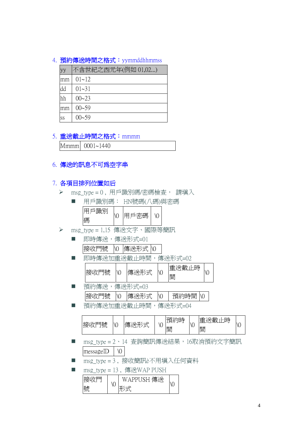#### 4. 預約傳送時間之格式: yymmddhhmmss

| yy | 不含世紀之西元年(例如 01,02) |
|----|--------------------|
| mm | $01 - 12$          |
| dd | $01 - 31$          |
| hh | $00 - 23$          |
| mm | $00 - 59$          |
| SS | $00 - 59$          |

#### 5. 重送截止時間之格式: mmmm

Mmmm 0001~1440

#### 6. 傳送的訊息不可為空字串

#### 7. 各項目排列位置如后

>  $msg_type = 0$ , 用戶識別碼/密碼檢查, 請塡入

| 用戶識別碼: HN號碼(八碼)與密碼 |      |  |
|--------------------|------|--|
| 用戶識別 <br>碼         | 用戶密碼 |  |

> msg\_type = 1,15 傳送文字、國際等簡訊

| 即時傳送,傳送形式=01    |  |  |
|-----------------|--|--|
| 接收門號 10 傳送形式 10 |  |  |

■ 即時傳送加重送截止時間,傳送形式=02

|  | 接收門號 | $\sqrt{0}$ | 傳送形式 |  | 重送截止時 <br>日日 |  |  |
|--|------|------------|------|--|--------------|--|--|
|--|------|------------|------|--|--------------|--|--|

- 預約傳送,傳送形式=03  $\frac{1}{2}$ 接收門號  $\sqrt{0}$  情送形式  $\sqrt{0}$  有 預約時間  $\sqrt{0}$
- 預約傳送加重送截止時間,傳送形式=04

| 日見老<br>接地<br>н<br>クリモ | $\sqrt{0}$ | 俌<br>- | N | 相<br>$\sim$<br>間 | N | $-1$<br>∽<br>⊞<br>H<br>ÆV<br>нz<br>間 | ۱U |
|-----------------------|------------|--------|---|------------------|---|--------------------------------------|----|
|-----------------------|------------|--------|---|------------------|---|--------------------------------------|----|

- msg\_type = 2、14 查詢簡訊傳送結果,16取消預約文字簡訊  $\text{messageID}$  \0
- msg\_type = 3, 接收簡訊è不用填入任何資料
- $msg_type = 13$ , 傳送 WAP PUSH

| 县县 | ۱U | SH 傳送<br>$\wedge$ PP[ $\vee$ |  |
|----|----|------------------------------|--|
|----|----|------------------------------|--|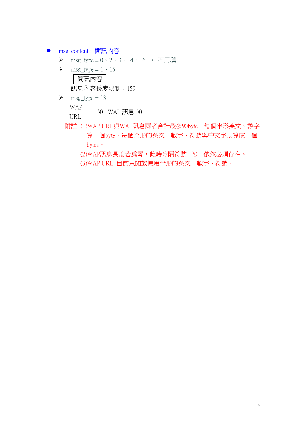- msg\_content : 簡訊內容
	- msg\_type = 0、2、3、14、16 → 不用填
	- $\triangleright$  msg\_type = 1 \cdot 15

簡訊內容 訊息內容長度限制:159

 $\triangleright$  msg\_type = 13 WAP  $\begin{array}{|c|c|c|}\n\hline \text{WAL} & \text{0} & \text{WAP} \end{array}$ 訳息  $\begin{array}{|c|c|c|}\n\hline \text{URL} & \text{0} & \text{WAP} \end{array}$ 

附註: (1)WAP URL與WAP訊息兩者合計最多90byte,每個半形英文、數字

算一個byte,每個全形的英文、數字、符號與中文字則算成三個 bytes。

(2)WAP訊息長度若為零,此時分隔符號`\0'依然必須存在。 (3)WAP URL 目前只開放使用半形的英文、數字、符號。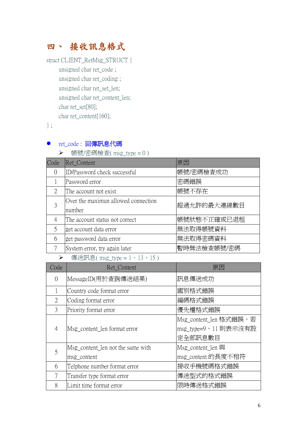# 四、 接收訊息格式

struct CLIENT\_RetMsg\_STRUCT { unsigned char ret\_code ; unsigned char ret\_coding ; unsigned char ret\_set\_len; unsigned char ret\_content\_len; char ret\_set[80]; char ret\_content[160];

} ;

### ● ret\_code : 回傳訊息代碼

 $\triangleright$  帳號/密碼檢查( msg\_type = 0)

| Code                        | Ret Content                         | 原因          |
|-----------------------------|-------------------------------------|-------------|
| $\left( \right)$            | ID/Password check successful        | 帳號/密碼檢查成功   |
|                             | Password error                      | 密碼錯誤        |
| $\mathcal{D}_{\mathcal{L}}$ | The account not exist               | 帳號不存在       |
| 3                           | Over the maximun allowed connection | 超過允許的最大連線數目 |
|                             | number                              |             |
|                             | The account status not correct      | 帳號狀態不正確或已退租 |
| 5                           | get account data error              | 無法取得帳號資料    |
| 6                           | get password data error             | 無法取得密碼資料    |
|                             | System error, try again later       | 暫時無法檢查帳號/密碼 |
|                             |                                     |             |

**▶** 傳送訊息( $msg_type = 1 \cdot 13 \cdot 15$ )

| Code          | Ret Content                       | 原因                                                         |
|---------------|-----------------------------------|------------------------------------------------------------|
| $\Omega$      | MessageID(用於查詢傳送結果)               | 訊息傳送成功                                                     |
|               | Country code format error         | 國別格式錯誤                                                     |
| $\mathcal{L}$ | Coding format error               | 編碼格式錯誤                                                     |
| 3             | Priority format error             | 優先權格式錯誤                                                    |
| 4             | Msg_content_len format error      | Msg_content_len 格式錯誤,若<br> msg_type=9、11 則表示沒有設<br>定全部訊息數目 |
| 5             | Msg_content_len not the same with | Msg content len 與                                          |
|               | msg_content                       | msg_content 的長度不相符                                         |
| 6             | Telphone number format error      | 接收手機號碼格式錯誤                                                 |
| 7             | Transfer type format error        | 傳送型式的格式錯誤                                                  |
| 8             | Limit time format error           | 限時傳送格式錯誤                                                   |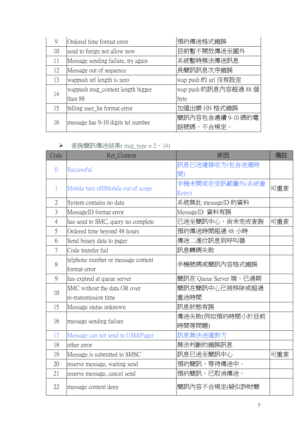| 9  | Ordered time format error          | 預約傳送格式錯誤             |
|----|------------------------------------|----------------------|
| 10 | send to forign not allow now       | 目前暫不開放傳送至國外          |
| 11 | Message sending failure, try again | 系統暫時無法傳送訊息           |
| 12 | Message out of sequence            | 長簡訊訊息次序錯誤            |
| 13 | wappush url length is zero         | wap push 的 url 沒有設定  |
| 14 | wappush msg_content length bigger  | wap push 的訊息內容超過 88個 |
|    | than 88                            | byte                 |
| 15 | billing user_hn format error       | 加值出帳 HN 格式錯誤         |
| 16 | message has 9-10 digits tel number | 簡訊內容包含連續 9-10 碼的電    |
|    |                                    | 話號碼,不合規定。            |

|  | 查詢簡訊傳送結果( msg_type = 2、14) |  |  |  |  |  |
|--|----------------------------|--|--|--|--|--|
|--|----------------------------|--|--|--|--|--|

| Code           | Ret_Content                                                         | 原因                        | 備註  |
|----------------|---------------------------------------------------------------------|---------------------------|-----|
| $\overline{0}$ | Successful                                                          | 訊息已送達接收方(包含送達時            |     |
|                |                                                                     | 間)                        |     |
| $\mathbf{1}$   | Mobile turn off/Mobile out of scope                                 | 手機未開或在受訊範圍外(系統會<br>Retry) | 可重査 |
| $\overline{2}$ | System contains no data                                             | 系統無此 messageID 的資料        |     |
| $\overline{3}$ | MessageID format error                                              | MessageID 資料有誤            |     |
| $\overline{4}$ | has send to SMC, query no complete                                  | 已送至簡訊中心,尙未完成查詢            | 可重查 |
| 5              | Ordered time beyond 48 hours                                        | 預約傳送時間超過48小時              |     |
| 6              | Send binary data to pager                                           | 傳送二進位訊息到呼叫器               |     |
| 7              | Code transfer fail                                                  | 訊息轉碼失敗                    |     |
| 8              | telphone number or message content<br>手機號碼或簡訊內容格式錯誤<br>format error |                           |     |
| 9              | has expired at queue server                                         | 簡訊在 Queue Server 端,已過期    |     |
| 10             | SMC without the data OR over                                        | 簡訊在簡訊中心已被移除或超過            |     |
|                | re-transmission time                                                | 重送時間                      |     |
| 15             | Message status unknown                                              | 訊息狀態有誤                    |     |
| 16             | message sending failure                                             | 傳送失敗(例如預約時間小於目前<br>時間等問題) |     |
|                |                                                                     |                           |     |
| 17             | Message can not send to GSM/Pager                                   | 訊息無法送達對方                  |     |
| 18             | other error                                                         | 無法判斷的錯誤訊息                 |     |
| 19             | Message is submitted to SMSC                                        | 訊息已送至簡訊中心                 | 可重査 |
| 20             | reserve message, waiting send                                       | 預約簡訊,等待傳送中。               |     |
| 21             | reserve message, cancel send                                        | 預約簡訊,已取消傳送。               |     |
| 22             | message content deny                                                | 簡訊內容不合規定(疑似詐財簡            |     |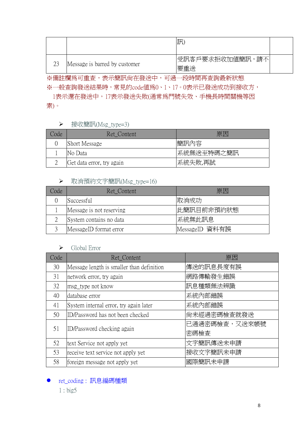|    |                               | 訊                           |  |
|----|-------------------------------|-----------------------------|--|
| 23 | Message is barred by customer | 請不<br> 受訊客戶要求拒收加值簡訊,<br>要重送 |  |

※備註欄為可重查,表示簡訊尚在發送中,可過一段時間再查詢最新狀態 ※一般杳詢發送結果時,常見的code值為0、1、17。0表示已發送成功到接收方, 1表示還在發送中,17表示發送失敗(通常為門號失效、手機長時間關機等因

素)。

#### ▶ 接收簡訊(Msg\_type=3)

| Code | Ret Content               | 原因         |
|------|---------------------------|------------|
|      | <b>Short Message</b>      | 簡訊內容       |
|      | INo Data                  | 系統無送至特碼之簡訊 |
|      | Get data error, try again | 系統失敗,再試    |

#### ▶ 取消預約文字簡訊(Msg\_type=16)

| Code | Ret Content              | 原因             |  |  |
|------|--------------------------|----------------|--|--|
|      | Successful               | 取消成功           |  |  |
|      | Message is not reserving | 此簡訊目前非預約狀態     |  |  |
|      | System contains no data  | 系統無此訊息         |  |  |
|      | MessageID format error   | MessageID 資料有誤 |  |  |

#### $\triangleright$  Global Error

| Code | Ret Content                               | 原因            |  |  |  |
|------|-------------------------------------------|---------------|--|--|--|
| 30   | Message length is smaller than definition | 傳送的訊息長度有誤     |  |  |  |
| 31   | network error, try again                  | 網路傳輸發生錯誤      |  |  |  |
| 32   | msg_type not know                         | 訊息種類無法辨識      |  |  |  |
| 40   | database error                            | 系統內部錯誤        |  |  |  |
| 41   | System internal error, try again later    | 系統內部錯誤        |  |  |  |
| 50   | ID/Password has not been checked          | 尙未經過密碼檢查就發送   |  |  |  |
| 51   | ID/Password checking again                | 已通過密碼檢查,又送來帳號 |  |  |  |
|      |                                           | 密碼檢查          |  |  |  |
| 52   | text Service not apply yet                | 文字簡訊傳送未申請     |  |  |  |
| 53   | receive text service not apply yet        | 接收文字簡訊未申請     |  |  |  |
| 58   | foreign message not apply yet             | 國際簡訊未申請       |  |  |  |

● ret\_coding: 訊息編碼種類

1 : big5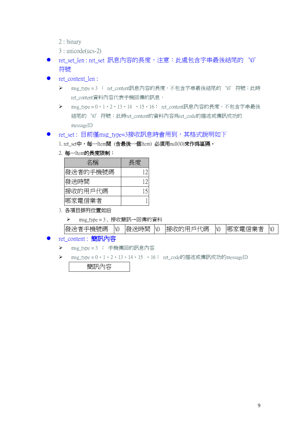- 2 : binary
- 3 : unicode(ucs-2)
- ret set len : ret set 訊息內容的長度,注意:此處包含字串最後結尾的'\0' 符號
- ret\_content\_len :
	- ▶ msg\_type = 3 : ret\_content訊息內容的長度,不包含字串最後結尾的'\0'符號;此時 ret\_content資料內容代表手機回傳的訊息,
	- ▶ msg\_type = 0、1、2、13、14 、15、16: ret\_content訊息內容的長度,不包含字串最後 結尾的 '\0' 符號; 此時ret\_content的資料內容為ret\_code的描述或傳訊成功的 messageID
- ret set : 目前僅msg\_type=3接收訊息時會用到,其格式說明如下
	- 1. ret\_set中,每一Item間 (含最後一個Item) 必須用null(\0)來作爲區隔。
	- 2. 每一Item的長度限制:

| 名稱       | 長度 |
|----------|----|
| 發送者的手機號碼 | 12 |
| 發送時間     | 12 |
| 接收的用戶代碼  |    |
| 哪家雷信業者   |    |

- 3. 各項目排列位置如后
	- msg\_type = 3 , 接收簡訊→回傳的資料

| □機號碼<br>發送者<br>- | $\sqrt{0}$ | 發送時間 | $\sqrt{0}$ | 接收的用<br>戶代碼<br>ᇇ | $\sqrt{0}$ | 스스프스 구시<br>哪家電<br>信茉者 | $\setminus$ |
|------------------|------------|------|------------|------------------|------------|-----------------------|-------------|
|                  |            |      |            |                  |            |                       |             |

- ret\_content : 簡訊內容
	- msg\_type = 3 : 手機傳回的訊息內容
	- msg\_type = 0、1、2、13、14、15 、16: ret\_code的描述或傳訊成功的messageID

簡訊內容